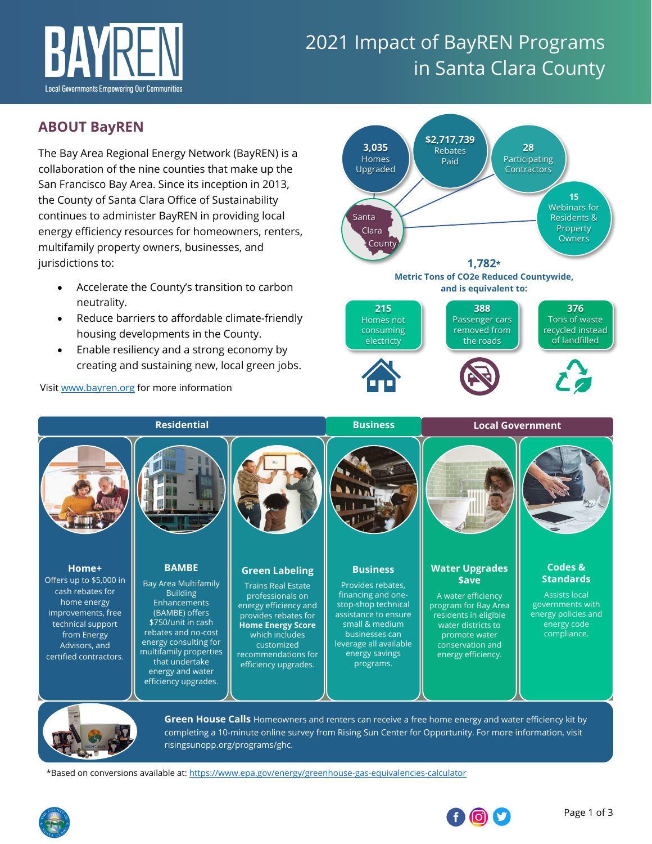

# 2021 Impact of BayREN Programs in Santa Clara County

# **ABOUT BayREN**

The Bay Area Regional Energy Network (BayREN) is a collaboration of the nine counties that make up the San Francisco Bay Area. Since its inception in 2013, the County of Santa Clara Office of Sustainability continues to administer BayREN in providing local energy efficiency resources for homeowners, renters, multifamily property owners, businesses, and jurisdictions to:

- Accelerate the County's transition to carbon neutrality.
- Reduce barriers to affordable climate-friendly housing developments in the County.
- Enable resiliency and a strong economy by creating and sustaining new, local green jobs.

Visi[t www.bayren.org](http://www.bayren.org/) for more information

**\$2,717,739 3,035 28** Rebates Homes Participating Paid Upgraded **Contractors** T **15**  Webinars for Santa Residents & **Property**  Clara **Owners** County **1,782\* Metric Tons of CO2e Reduced Countywide, and is equivalent to:**



**Home+** Offers up to \$5,000 in cash rebates for home energy improvements, free technical support from Energy Advisors, and [certified contractors.](https://www.bayren.org/homeowners) **BAMBE** Bay Area Multifamily Building **Enhancements** (BAMBE) offers \$750/unit in cash rebates and no-cost energy consulting for [multifamily properties](https://www.bayren.org/multifamily)  that undertake energy and water efficiency upgrades. **[Green Labeling](https://www.bayren.org/hes)** Trains Real Estate professionals on energy efficiency and provides rebates for **Home Energy Score**  which includes customized recommendations for efficiency upgrades. **Business** Provides rebates, financing and onestop-shop technical assistance to ensure small & medium businesses can [leverage all available](https://www.bayren.org/business)  energy savings programs. **[Water Upgrades](https://www.bayren.org/waterupgradessave)  \$ave** A water efficiency program for Bay Area residents in eligible water districts to promote water conservation and energy efficiency. **Codes & Standards** Assists local governments with energy policies and energy code compliance. **Residential Business Local Government**



**Green House Calls** [Homeowners and renters can receive a free home energy and water efficiency kit by](https://risingsunopp.org/programs/ghc/)  completing a 10-minute online survey from Rising Sun Center for Opportunity. For more information, visit [risingsunopp.org/programs/ghc.](https://risingsunopp.org/programs/ghc/)

\*Based on conversions available at: <https://www.epa.gov/energy/greenhouse-gas-equivalencies-calculator>



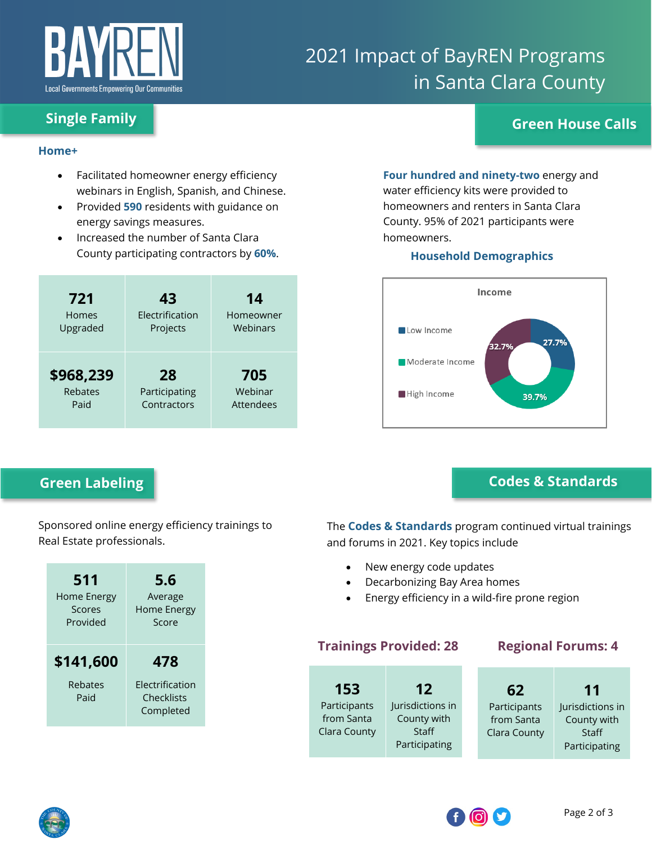

# 2021 Impact of BayREN Programs in Santa Clara County

# **Single Family Green House Calls**

#### **Home+**

- Facilitated homeowner energy efficiency webinars in English, Spanish, and Chinese.
- Provided **590** residents with guidance on energy savings measures.
- Increased the number of Santa Clara County participating contractors by **60%**.

| 721            | 43              | 14        |  |  |
|----------------|-----------------|-----------|--|--|
| Homes          | Electrification | Homeowner |  |  |
| Upgraded       | Projects        | Webinars  |  |  |
| \$968,239      | 28              | 705       |  |  |
| <b>Rebates</b> | Participating   | Webinar   |  |  |
| Paid           | Contractors     | Attendees |  |  |

# **Green Labeling**

Sponsored online energy efficiency trainings to Real Estate professionals.

| 511                          | 5.6                                               |
|------------------------------|---------------------------------------------------|
| Home Energy                  | Average                                           |
| Scores                       | Home Energy                                       |
| Provided                     | Score                                             |
| \$141,600<br>Rebates<br>Paid | 478<br>Flectrification<br>Checklists<br>Completed |

# **Four hundred and ninety-two** energy and water efficiency kits were provided to homeowners and renters in Santa Clara

### homeowners. **Household Demographics**

County. 95% of 2021 participants were



# **Codes & Standards**

The **Codes & Standards** program continued virtual trainings and forums in 2021. Key topics include

- New energy code updates
- Decarbonizing Bay Area homes
- Energy efficiency in a wild-fire prone region

## **Trainings Provided: 28 Regional Forums: 4**

| 153          | 12               | 62           | 11               |
|--------------|------------------|--------------|------------------|
| Participants | Jurisdictions in | Participants | Jurisdictions in |
| from Santa   | County with      | from Santa   | County with      |
| Clara County | Staff            | Clara County | Staff            |
|              | Participating    |              | Participating    |
|              |                  |              |                  |